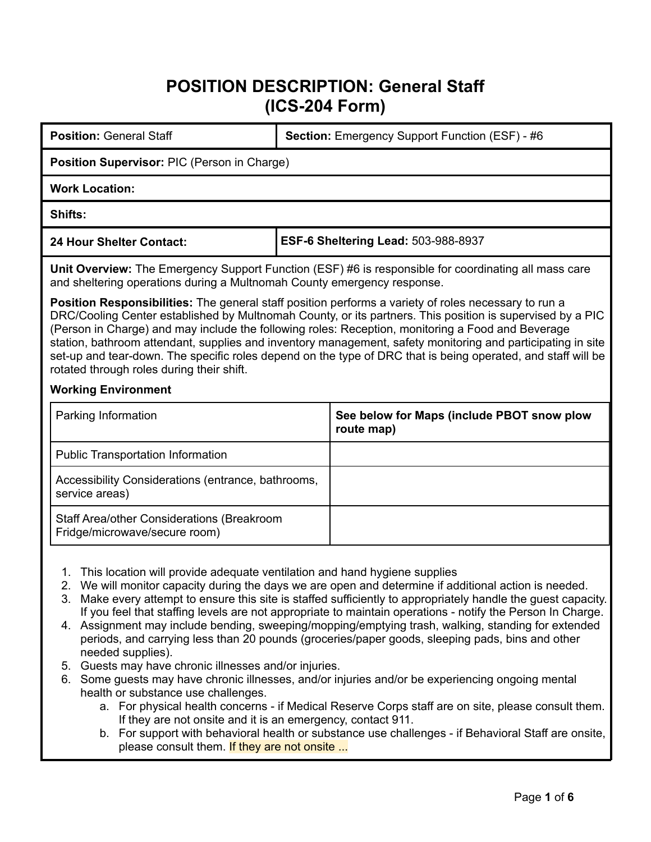# **POSITION DESCRIPTION: General Staff (ICS-204 Form)**

| <b>Position: General Staff</b>                                                                                                                                                                                                                                                                                                                                                                                                                                                                                                                                                                                                                                                                                                                                                                                             | <b>Section:</b> Emergency Support Function (ESF) - #6    |  |
|----------------------------------------------------------------------------------------------------------------------------------------------------------------------------------------------------------------------------------------------------------------------------------------------------------------------------------------------------------------------------------------------------------------------------------------------------------------------------------------------------------------------------------------------------------------------------------------------------------------------------------------------------------------------------------------------------------------------------------------------------------------------------------------------------------------------------|----------------------------------------------------------|--|
| Position Supervisor: PIC (Person in Charge)                                                                                                                                                                                                                                                                                                                                                                                                                                                                                                                                                                                                                                                                                                                                                                                |                                                          |  |
| <b>Work Location:</b>                                                                                                                                                                                                                                                                                                                                                                                                                                                                                                                                                                                                                                                                                                                                                                                                      |                                                          |  |
| <b>Shifts:</b>                                                                                                                                                                                                                                                                                                                                                                                                                                                                                                                                                                                                                                                                                                                                                                                                             |                                                          |  |
| <b>24 Hour Shelter Contact:</b>                                                                                                                                                                                                                                                                                                                                                                                                                                                                                                                                                                                                                                                                                                                                                                                            | ESF-6 Sheltering Lead: 503-988-8937                      |  |
| Unit Overview: The Emergency Support Function (ESF) #6 is responsible for coordinating all mass care<br>and sheltering operations during a Multnomah County emergency response.<br><b>Position Responsibilities:</b> The general staff position performs a variety of roles necessary to run a<br>DRC/Cooling Center established by Multnomah County, or its partners. This position is supervised by a PIC<br>(Person in Charge) and may include the following roles: Reception, monitoring a Food and Beverage<br>station, bathroom attendant, supplies and inventory management, safety monitoring and participating in site<br>set-up and tear-down. The specific roles depend on the type of DRC that is being operated, and staff will be<br>rotated through roles during their shift.<br><b>Working Environment</b> |                                                          |  |
| Parking Information                                                                                                                                                                                                                                                                                                                                                                                                                                                                                                                                                                                                                                                                                                                                                                                                        | See below for Maps (include PBOT snow plow<br>route map) |  |
| <b>Public Transportation Information</b>                                                                                                                                                                                                                                                                                                                                                                                                                                                                                                                                                                                                                                                                                                                                                                                   |                                                          |  |
| Accessibility Considerations (entrance, bathrooms,                                                                                                                                                                                                                                                                                                                                                                                                                                                                                                                                                                                                                                                                                                                                                                         |                                                          |  |

Staff Area/other Considerations (Breakroom Fridge/microwave/secure room)

service areas)

- 1. This location will provide adequate ventilation and hand hygiene supplies
- 2. We will monitor capacity during the days we are open and determine if additional action is needed.
- 3. Make every attempt to ensure this site is staffed sufficiently to appropriately handle the guest capacity. If you feel that staffing levels are not appropriate to maintain operations - notify the Person In Charge.
- 4. Assignment may include bending, sweeping/mopping/emptying trash, walking, standing for extended periods, and carrying less than 20 pounds (groceries/paper goods, sleeping pads, bins and other needed supplies).
- 5. Guests may have chronic illnesses and/or injuries.
- 6. Some guests may have chronic illnesses, and/or injuries and/or be experiencing ongoing mental health or substance use challenges.
	- a. For physical health concerns if Medical Reserve Corps staff are on site, please consult them. If they are not onsite and it is an emergency, contact 911.
	- b. For support with behavioral health or substance use challenges if Behavioral Staff are onsite, please consult them. If they are not onsite ...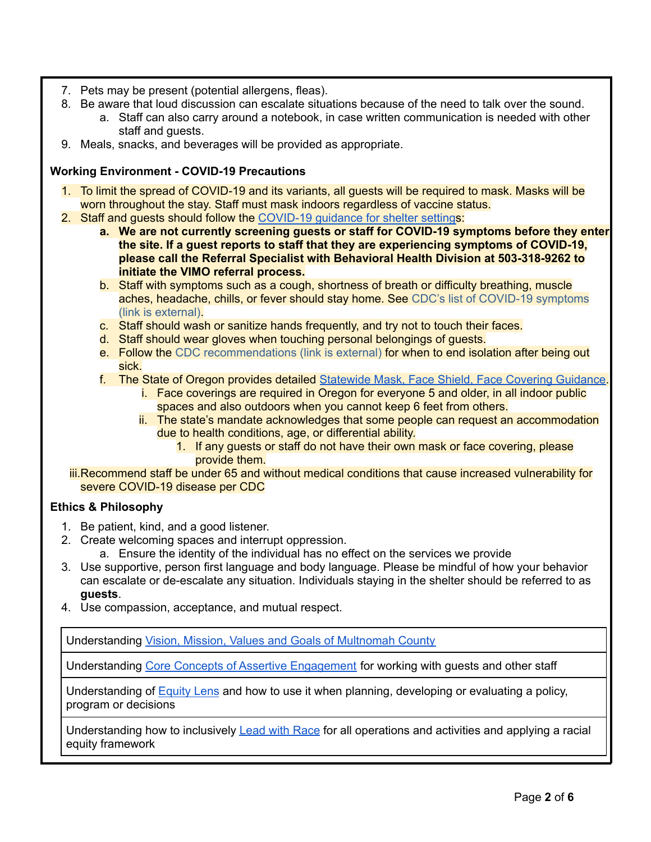- 7. Pets may be present (potential allergens, fleas).
- 8. Be aware that loud discussion can escalate situations because of the need to talk over the sound.
	- a. Staff can also carry around a notebook, in case written communication is needed with other staff and guests.
- 9. Meals, snacks, and beverages will be provided as appropriate.

## **Working Environment - COVID-19 Precautions**

- 1. To limit the spread of COVID-19 and its variants, all guests will be required to mask. Masks will be worn throughout the stay. Staff must mask indoors regardless of vaccine status.
- 2. Staff and guests should follow the [COVID-19](https://multco.us/novel-coronavirus-covid-19/covid-19-guidance-shelter-settings) guidance for shelter settings:
	- **a. We are not currently screening guests or staff for COVID-19 symptoms before they enter the site. If a guest reports to staff that they are experiencing symptoms of COVID-19, please call the Referral Specialist with Behavioral Health Division at 503-318-9262 to initiate the VIMO referral process.**
	- b. Staff with symptoms such as a cough, shortness of breath or difficulty breathing, muscle aches, headache, chills, or fever should stay home. See CDC's list of [COVID-19](https://www.cdc.gov/coronavirus/2019-ncov/symptoms-testing/symptoms.html) symptoms (link is [external\).](https://www.cdc.gov/coronavirus/2019-ncov/symptoms-testing/symptoms.html)
	- c. Staff should wash or sanitize hands frequently, and try not to touch their faces.
	- d. Staff should wear gloves when touching personal belongings of guests.
	- e. Follow the CDC [recommendations](https://www.cdc.gov/coronavirus/2019-ncov/hcp/disposition-in-home-patients.html) (link is external) for when to end isolation after being out sick.
	- f. The State of Oregon provides detailed [Statewide](https://sharedsystems.dhsoha.state.or.us/DHSForms/Served/le2288K.pdf) Mask, Face Shield, Face Covering Guidance.
		- i. Face coverings are required in Oregon for everyone 5 and older, in all indoor public spaces and also outdoors when you cannot keep 6 feet from others.
		- ii. The state's mandate acknowledges that some people can request an accommodation due to health conditions, age, or differential ability.
			- 1. If any guests or staff do not have their own mask or face covering, please provide them.
	- iii.Recommend staff be under 65 and without medical conditions that cause increased vulnerability for severe COVID-19 disease per CDC

#### **Ethics & Philosophy**

- 1. Be patient, kind, and a good listener.
- 2. Create welcoming spaces and interrupt oppression.
	- a. Ensure the identity of the individual has no effect on the services we provide
- 3. Use supportive, person first language and body language. Please be mindful of how your behavior can escalate or de-escalate any situation. Individuals staying in the shelter should be referred to as **guests**.
- 4. Use compassion, acceptance, and mutual respect.

Understanding Vision, Mission, Values and Goals of [Multnomah](https://multco.us/health/about-health-department/vision-mission-values-and-goals) County

Understanding Core Concepts of Assertive [Engagement](https://www.multco.us/assertive-engagement/core-concepts-assertive-engagement) for working with guests and other staff

Understanding of [Equity](https://multco-web7-psh-files-usw2.s3-us-west-2.amazonaws.com/s3fs-public/diversity-equity/documents/lens_handouts-092613forpublicweb.pdf) Lens and how to use it when planning, developing or evaluating a policy, program or decisions

Understanding how to inclusively **Lead with [Race](https://www.multco.us/safety-trust-and-belonging-workforce-equity-initiative/why-we-lead-race) for all operations and activities and applying a racial** equity framework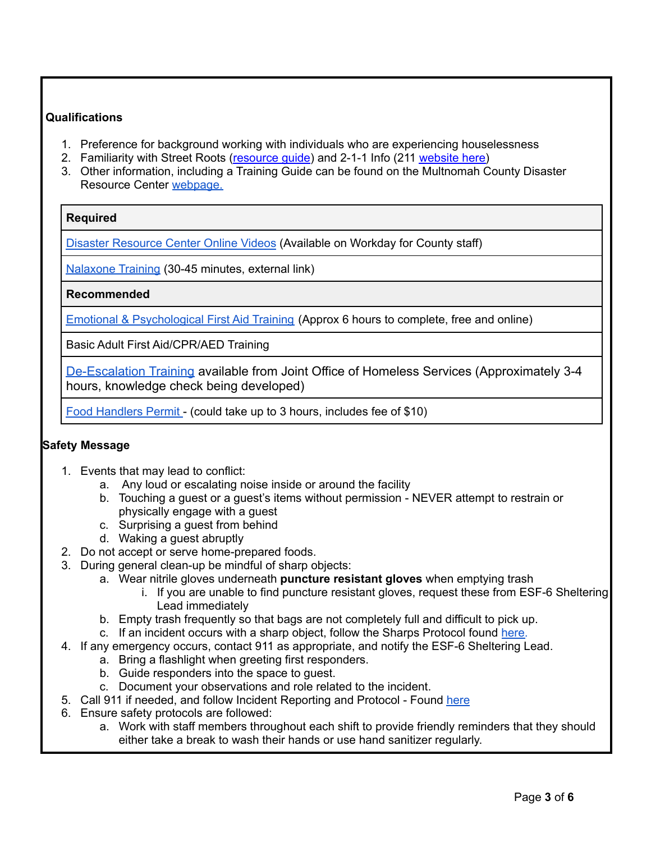# **Qualifications**

- 1. Preference for background working with individuals who are experiencing houselessness
- 2. Familiarity with Street Roots [\(resource](http://www.streetroots.org/about/work/resourceguide) quide) and 2-1-1 Info (211 [website](https://www.211info.org/) here)
- 3. Other information, including a Training Guide can be found on the Multnomah County Disaster Resource Center [webpage.](https://www.multco.us/dchs/disaster-resource-centers)

# **Required**

Disaster [Resource](https://www.youtube.com/watch?v=dZ5NOzoCOts&list=PLBBA-VEWU2IZN1FFKSwUL694eshLHtp1w) Center Online Videos (Available on Workday for County staff)

[Nalaxone](https://www.oregon.gov/oha/ph/ProviderPartnerResources/EMSTraumaSystems/Pages/epi-protocol-training.aspx#naloxone) Training (30-45 minutes, external link)

**Recommended**

Emotional & [Psychological](https://www.coursera.org/learn/psychological-first-aid#) First Aid Training (Approx 6 hours to complete, free and online)

Basic Adult First Aid/CPR/AED Training

[De-Escalation Training](https://www.youtube.com/playlist?list=PL-ZbL7pswLOQdQ9S4pSj5-kbDy3Dejnim) available from Joint Office of Homeless Services (Approximately 3-4 hours, knowledge check being developed)

Food [Handlers](https://www.orfoodhandlers.com/eMain.aspx) Permit - (could take up to 3 hours, includes fee of \$10)

# **Safety Message**

- 1. Events that may lead to conflict:
	- a. Any loud or escalating noise inside or around the facility
	- b. Touching a guest or a guest's items without permission NEVER attempt to restrain or physically engage with a guest
	- c. Surprising a guest from behind
	- d. Waking a guest abruptly
- 2. Do not accept or serve home-prepared foods.
- 3. During general clean-up be mindful of sharp objects:
	- a. Wear nitrile gloves underneath **puncture resistant gloves** when emptying trash
		- i. If you are unable to find puncture resistant gloves, request these from ESF-6 Sheltering Lead immediately
	- b. Empty trash frequently so that bags are not completely full and difficult to pick up.
	- c. If an incident occurs with a sharp object, follow the Sharps Protocol found [here.](https://docs.google.com/document/d/1LGrkBXeTlXP0fIEWU1q1UQU-LKYZzgbtccQUglGFF7A/edit?usp=sharing)
- 4. If any emergency occurs, contact 911 as appropriate, and notify the ESF-6 Sheltering Lead.
	- a. Bring a flashlight when greeting first responders.
		- b. Guide responders into the space to guest.
		- c. Document your observations and role related to the incident.
- 5. Call 911 if needed, and follow Incident Reporting and Protocol Found [here](https://docs.google.com/document/d/1FA-6VDEVW16l4XXYbVuVIsDQUHmALk3TfEyEqzfKhNk/edit)
- 6. Ensure safety protocols are followed:
	- a. Work with staff members throughout each shift to provide friendly reminders that they should either take a break to wash their hands or use hand sanitizer regularly.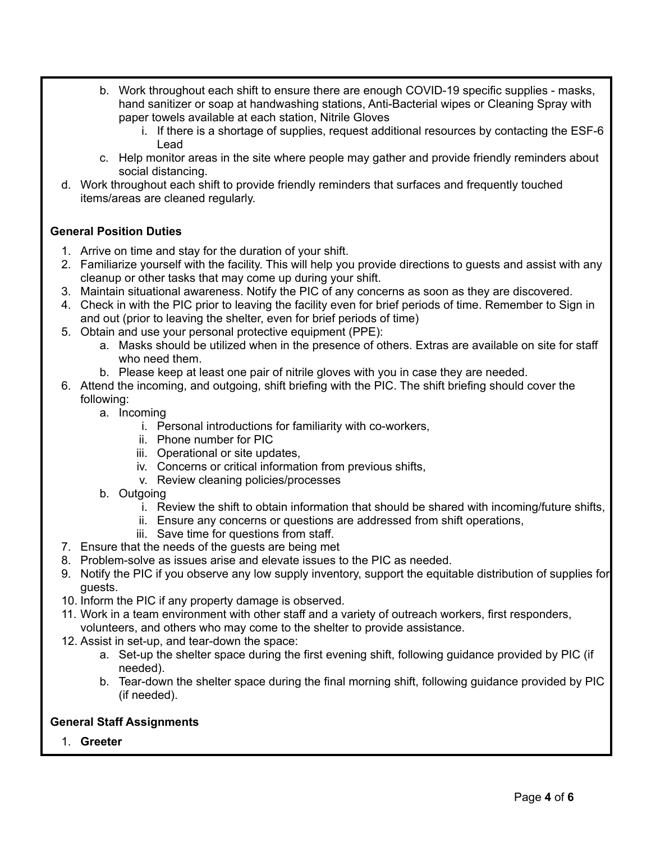- b. Work throughout each shift to ensure there are enough COVID-19 specific supplies masks, hand sanitizer or soap at handwashing stations, Anti-Bacterial wipes or Cleaning Spray with paper towels available at each station, Nitrile Gloves
	- i. If there is a shortage of supplies, request additional resources by contacting the ESF-6 Lead
- c. Help monitor areas in the site where people may gather and provide friendly reminders about social distancing.
- d. Work throughout each shift to provide friendly reminders that surfaces and frequently touched items/areas are cleaned regularly.

# **General Position Duties**

- 1. Arrive on time and stay for the duration of your shift.
- 2. Familiarize yourself with the facility. This will help you provide directions to guests and assist with any cleanup or other tasks that may come up during your shift.
- 3. Maintain situational awareness. Notify the PIC of any concerns as soon as they are discovered.
- 4. Check in with the PIC prior to leaving the facility even for brief periods of time. Remember to Sign in and out (prior to leaving the shelter, even for brief periods of time)
- 5. Obtain and use your personal protective equipment (PPE):
	- a. Masks should be utilized when in the presence of others. Extras are available on site for staff who need them.
	- b. Please keep at least one pair of nitrile gloves with you in case they are needed.
- 6. Attend the incoming, and outgoing, shift briefing with the PIC. The shift briefing should cover the following:
	- a. Incoming
		- i. Personal introductions for familiarity with co-workers,
		- ii. Phone number for PIC
		- iii. Operational or site updates,
		- iv. Concerns or critical information from previous shifts,
		- v. Review cleaning policies/processes
	- b. Outgoing
		- i. Review the shift to obtain information that should be shared with incoming/future shifts,
		- ii. Ensure any concerns or questions are addressed from shift operations,
		- iii. Save time for questions from staff.
- 7. Ensure that the needs of the guests are being met
- 8. Problem-solve as issues arise and elevate issues to the PIC as needed.
- 9. Notify the PIC if you observe any low supply inventory, support the equitable distribution of supplies for guests.
- 10. Inform the PIC if any property damage is observed.
- 11. Work in a team environment with other staff and a variety of outreach workers, first responders, volunteers, and others who may come to the shelter to provide assistance.
- 12. Assist in set-up, and tear-down the space:
	- a. Set-up the shelter space during the first evening shift, following guidance provided by PIC (if needed).
	- b. Tear-down the shelter space during the final morning shift, following guidance provided by PIC (if needed).

#### **General Staff Assignments**

1. **Greeter**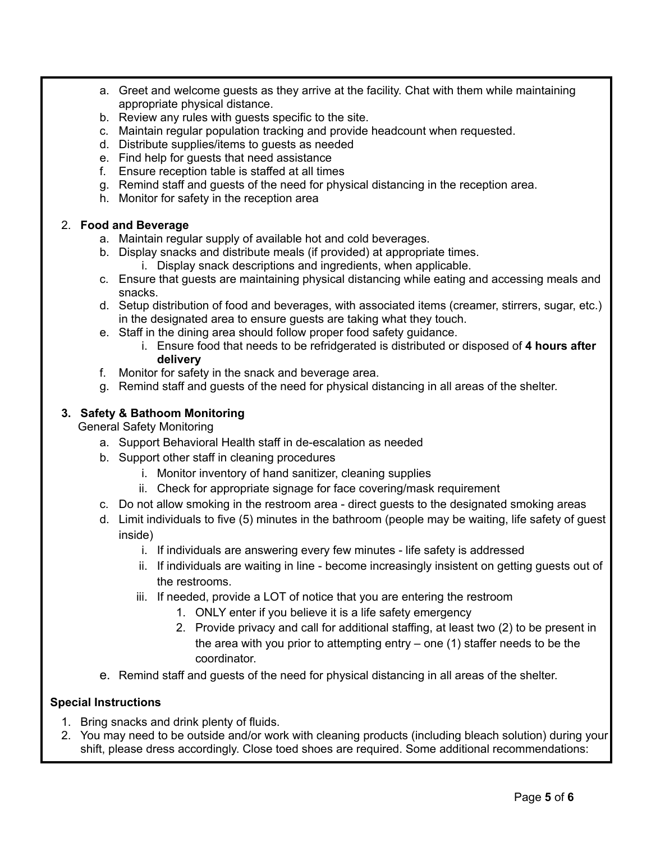- a. Greet and welcome guests as they arrive at the facility. Chat with them while maintaining appropriate physical distance.
- b. Review any rules with guests specific to the site.
- c. Maintain regular population tracking and provide headcount when requested.
- d. Distribute supplies/items to guests as needed
- e. Find help for guests that need assistance
- f. Ensure reception table is staffed at all times
- g. Remind staff and guests of the need for physical distancing in the reception area.
- h. Monitor for safety in the reception area

### 2. **Food and Beverage**

- a. Maintain regular supply of available hot and cold beverages.
- b. Display snacks and distribute meals (if provided) at appropriate times.
	- i. Display snack descriptions and ingredients, when applicable.
- c. Ensure that guests are maintaining physical distancing while eating and accessing meals and snacks.
- d. Setup distribution of food and beverages, with associated items (creamer, stirrers, sugar, etc.) in the designated area to ensure guests are taking what they touch.
- e. Staff in the dining area should follow proper food safety guidance.
	- i. Ensure food that needs to be refridgerated is distributed or disposed of **4 hours after delivery**
- f. Monitor for safety in the snack and beverage area.
- g. Remind staff and guests of the need for physical distancing in all areas of the shelter.

### **3. Safety & Bathoom Monitoring**

General Safety Monitoring

- a. Support Behavioral Health staff in de-escalation as needed
- b. Support other staff in cleaning procedures
	- i. Monitor inventory of hand sanitizer, cleaning supplies
	- ii. Check for appropriate signage for face covering/mask requirement
- c. Do not allow smoking in the restroom area direct guests to the designated smoking areas
- d. Limit individuals to five (5) minutes in the bathroom (people may be waiting, life safety of guest inside)
	- i. If individuals are answering every few minutes life safety is addressed
	- ii. If individuals are waiting in line become increasingly insistent on getting guests out of the restrooms.
	- iii. If needed, provide a LOT of notice that you are entering the restroom
		- 1. ONLY enter if you believe it is a life safety emergency
		- 2. Provide privacy and call for additional staffing, at least two (2) to be present in the area with you prior to attempting entry – one (1) staffer needs to be the coordinator.
- e. Remind staff and guests of the need for physical distancing in all areas of the shelter.

#### **Special Instructions**

- 1. Bring snacks and drink plenty of fluids.
- 2. You may need to be outside and/or work with cleaning products (including bleach solution) during your shift, please dress accordingly. Close toed shoes are required. Some additional recommendations: